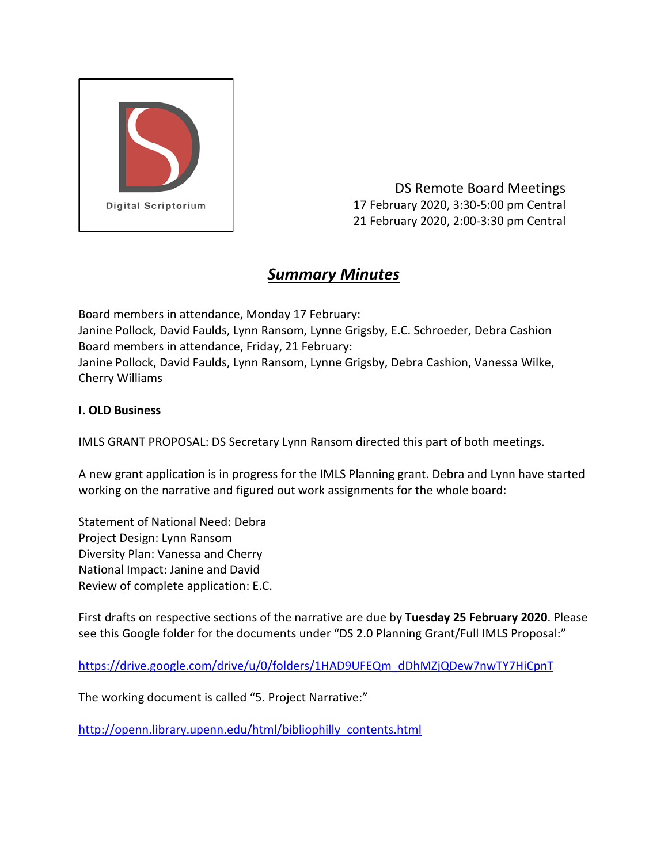

DS Remote Board Meetings 17 February 2020, 3:30-5:00 pm Central 21 February 2020, 2:00-3:30 pm Central

# *Summary Minutes*

Board members in attendance, Monday 17 February: Janine Pollock, David Faulds, Lynn Ransom, Lynne Grigsby, E.C. Schroeder, Debra Cashion Board members in attendance, Friday, 21 February: Janine Pollock, David Faulds, Lynn Ransom, Lynne Grigsby, Debra Cashion, Vanessa Wilke, Cherry Williams

## **I. OLD Business**

IMLS GRANT PROPOSAL: DS Secretary Lynn Ransom directed this part of both meetings.

A new grant application is in progress for the IMLS Planning grant. Debra and Lynn have started working on the narrative and figured out work assignments for the whole board:

Statement of National Need: Debra Project Design: Lynn Ransom Diversity Plan: Vanessa and Cherry National Impact: Janine and David Review of complete application: E.C.

First drafts on respective sections of the narrative are due by **Tuesday 25 February 2020**. Please see this Google folder for the documents under "DS 2.0 Planning Grant/Full IMLS Proposal:"

[https://drive.google.com/drive/u/0/folders/1HAD9UFEQm\\_dDhMZjQDew7nwTY7HiCpnT](https://drive.google.com/drive/u/0/folders/1HAD9UFEQm_dDhMZjQDew7nwTY7HiCpnT)

The working document is called "5. Project Narrative:"

[http://openn.library.upenn.edu/html/bibliophilly\\_contents.html](http://openn.library.upenn.edu/html/bibliophilly_contents.html)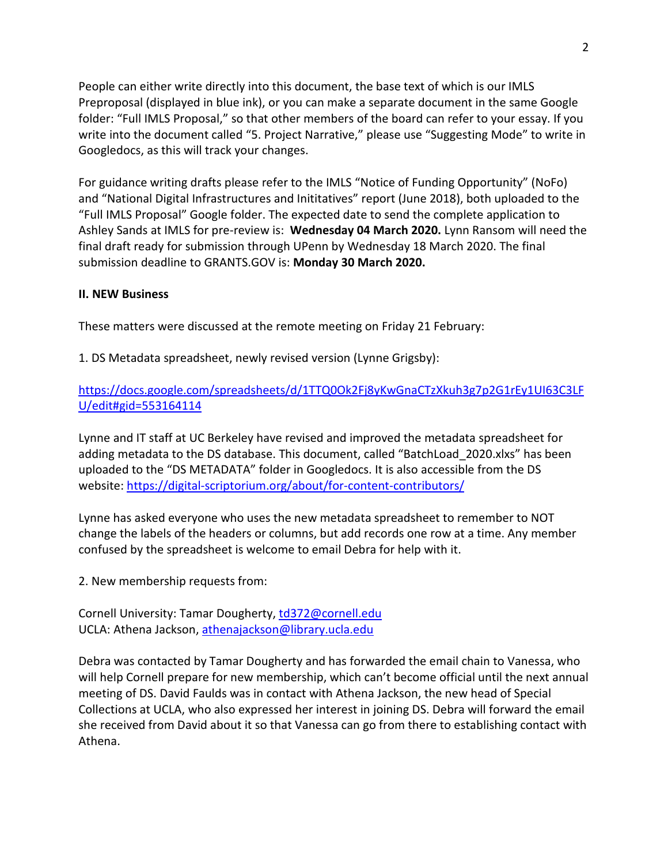People can either write directly into this document, the base text of which is our IMLS Preproposal (displayed in blue ink), or you can make a separate document in the same Google folder: "Full IMLS Proposal," so that other members of the board can refer to your essay. If you write into the document called "5. Project Narrative," please use "Suggesting Mode" to write in Googledocs, as this will track your changes.

For guidance writing drafts please refer to the IMLS "Notice of Funding Opportunity" (NoFo) and "National Digital Infrastructures and Inititatives" report (June 2018), both uploaded to the "Full IMLS Proposal" Google folder. The expected date to send the complete application to Ashley Sands at IMLS for pre-review is: **Wednesday 04 March 2020.** Lynn Ransom will need the final draft ready for submission through UPenn by Wednesday 18 March 2020. The final submission deadline to GRANTS.GOV is: **Monday 30 March 2020.**

### **II. NEW Business**

These matters were discussed at the remote meeting on Friday 21 February:

#### 1. DS Metadata spreadsheet, newly revised version (Lynne Grigsby):

## [https://docs.google.com/spreadsheets/d/1TTQ0Ok2Fj8yKwGnaCTzXkuh3g7p2G1rEy1UI63C3LF](https://docs.google.com/spreadsheets/d/1TTQ0Ok2Fj8yKwGnaCTzXkuh3g7p2G1rEy1UI63C3LFU/edit#gid=553164114) [U/edit#gid=553164114](https://docs.google.com/spreadsheets/d/1TTQ0Ok2Fj8yKwGnaCTzXkuh3g7p2G1rEy1UI63C3LFU/edit#gid=553164114)

Lynne and IT staff at UC Berkeley have revised and improved the metadata spreadsheet for adding metadata to the DS database. This document, called "BatchLoad\_2020.xlxs" has been uploaded to the "DS METADATA" folder in Googledocs. It is also accessible from the DS website:<https://digital-scriptorium.org/about/for-content-contributors/>

Lynne has asked everyone who uses the new metadata spreadsheet to remember to NOT change the labels of the headers or columns, but add records one row at a time. Any member confused by the spreadsheet is welcome to email Debra for help with it.

2. New membership requests from:

Cornell University: Tamar Dougherty[, td372@cornell.edu](mailto:td372@cornell.edu) UCLA: Athena Jackson, [athenajackson@library.ucla.edu](mailto:athenajackson@library.ucla.edu)

Debra was contacted by Tamar Dougherty and has forwarded the email chain to Vanessa, who will help Cornell prepare for new membership, which can't become official until the next annual meeting of DS. David Faulds was in contact with Athena Jackson, the new head of Special Collections at UCLA, who also expressed her interest in joining DS. Debra will forward the email she received from David about it so that Vanessa can go from there to establishing contact with Athena.